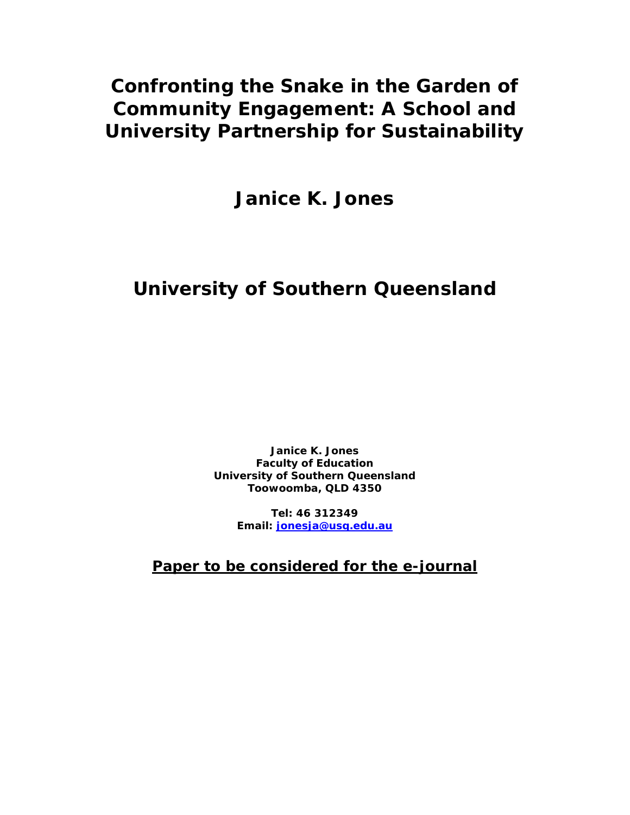# **Confronting the Snake in the Garden of Community Engagement: A School and University Partnership for Sustainability**

**Janice K. Jones** 

# **University of Southern Queensland**

**Janice K. Jones Faculty of Education University of Southern Queensland Toowoomba, QLD 4350** 

> **Tel: 46 312349 Email: [jonesja@usq.edu.au](mailto:jonesja@usq.edu.au)**

**Paper to be considered for the e-journal**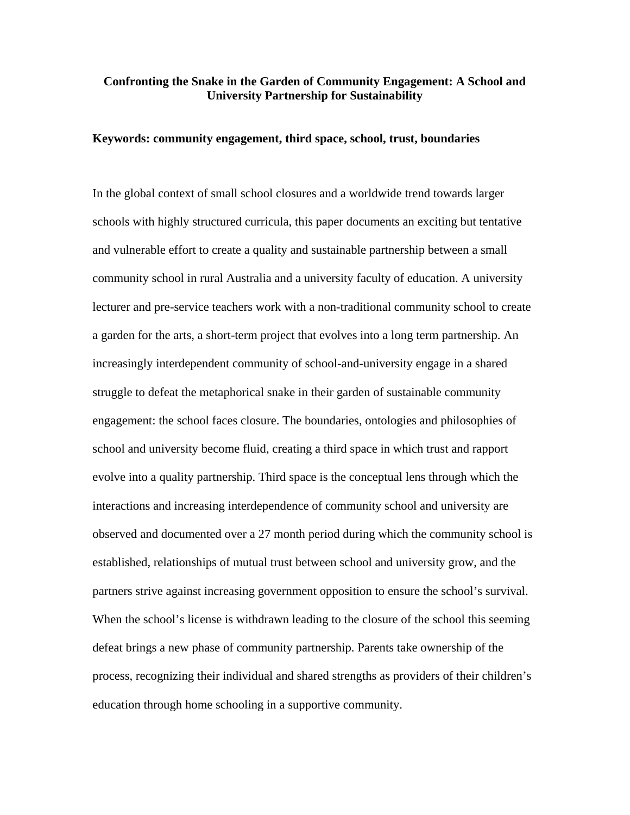### **Confronting the Snake in the Garden of Community Engagement: A School and University Partnership for Sustainability**

### **Keywords: community engagement, third space, school, trust, boundaries**

In the global context of small school closures and a worldwide trend towards larger schools with highly structured curricula, this paper documents an exciting but tentative and vulnerable effort to create a quality and sustainable partnership between a small community school in rural Australia and a university faculty of education. A university lecturer and pre-service teachers work with a non-traditional community school to create a garden for the arts, a short-term project that evolves into a long term partnership. An increasingly interdependent community of school-and-university engage in a shared struggle to defeat the metaphorical snake in their garden of sustainable community engagement: the school faces closure. The boundaries, ontologies and philosophies of school and university become fluid, creating a third space in which trust and rapport evolve into a quality partnership. Third space is the conceptual lens through which the interactions and increasing interdependence of community school and university are observed and documented over a 27 month period during which the community school is established, relationships of mutual trust between school and university grow, and the partners strive against increasing government opposition to ensure the school's survival. When the school's license is withdrawn leading to the closure of the school this seeming defeat brings a new phase of community partnership. Parents take ownership of the process, recognizing their individual and shared strengths as providers of their children's education through home schooling in a supportive community.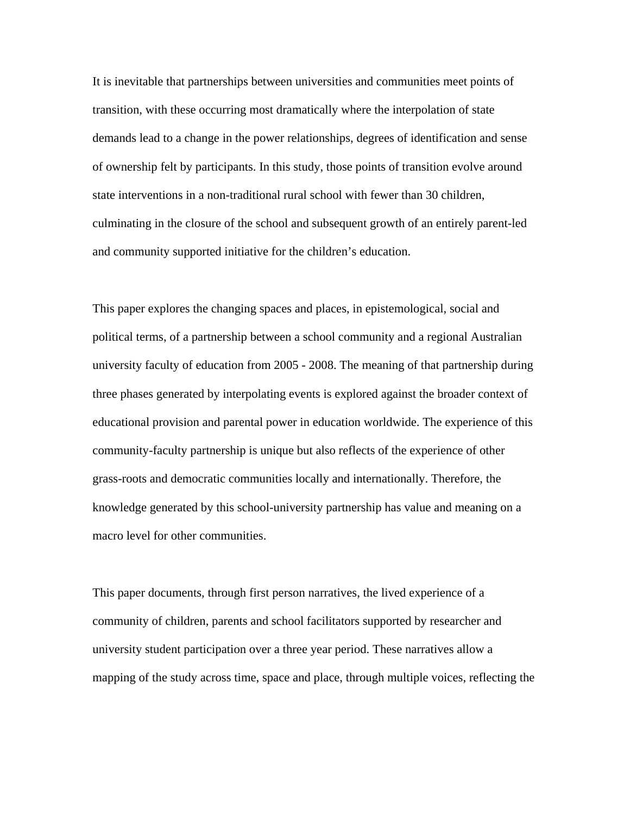It is inevitable that partnerships between universities and communities meet points of transition, with these occurring most dramatically where the interpolation of state demands lead to a change in the power relationships, degrees of identification and sense of ownership felt by participants. In this study, those points of transition evolve around state interventions in a non-traditional rural school with fewer than 30 children, culminating in the closure of the school and subsequent growth of an entirely parent-led and community supported initiative for the children's education.

This paper explores the changing spaces and places, in epistemological, social and political terms, of a partnership between a school community and a regional Australian university faculty of education from 2005 - 2008. The meaning of that partnership during three phases generated by interpolating events is explored against the broader context of educational provision and parental power in education worldwide. The experience of this community-faculty partnership is unique but also reflects of the experience of other grass-roots and democratic communities locally and internationally. Therefore, the knowledge generated by this school-university partnership has value and meaning on a macro level for other communities.

This paper documents, through first person narratives, the lived experience of a community of children, parents and school facilitators supported by researcher and university student participation over a three year period. These narratives allow a mapping of the study across time, space and place, through multiple voices, reflecting the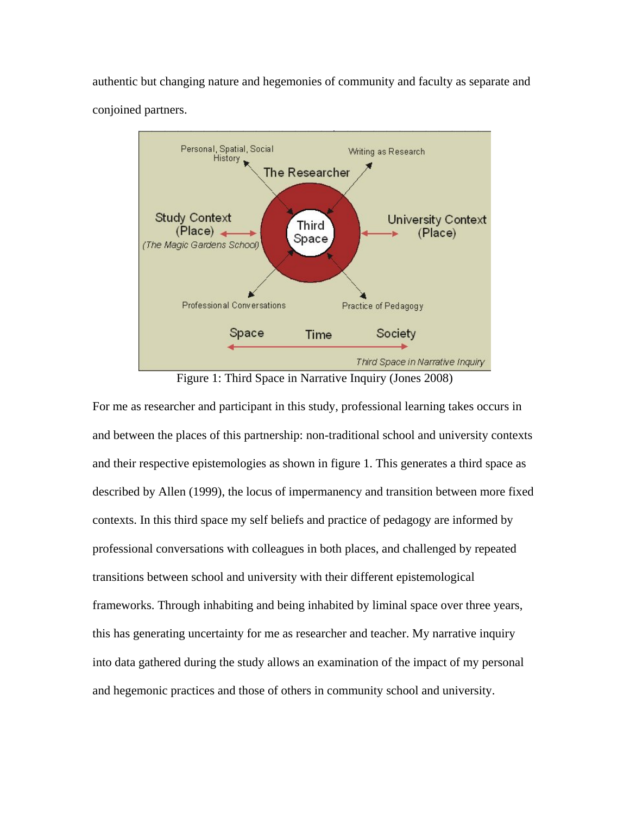authentic but changing nature and hegemonies of community and faculty as separate and conjoined partners.



Figure 1: Third Space in Narrative Inquiry (Jones 2008)

For me as researcher and participant in this study, professional learning takes occurs in and between the places of this partnership: non-traditional school and university contexts and their respective epistemologies as shown in figure 1. This generates a third space as described by Allen (1999), the locus of impermanency and transition between more fixed contexts. In this third space my self beliefs and practice of pedagogy are informed by professional conversations with colleagues in both places, and challenged by repeated transitions between school and university with their different epistemological frameworks. Through inhabiting and being inhabited by liminal space over three years, this has generating uncertainty for me as researcher and teacher. My narrative inquiry into data gathered during the study allows an examination of the impact of my personal and hegemonic practices and those of others in community school and university.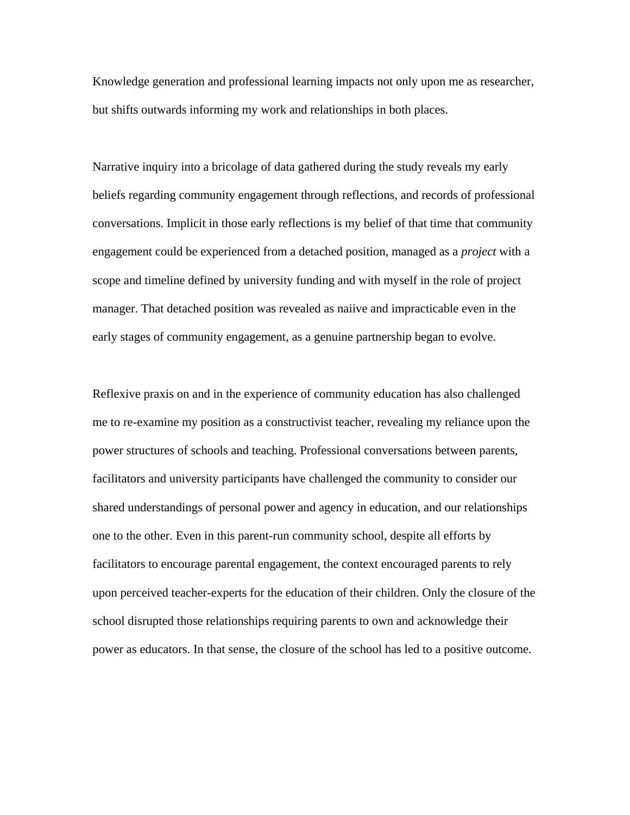Knowledge generation and professional learning impacts not only upon me as researcher, but shifts outwards informing my work and relationships in both places.

Narrative inquiry into a bricolage of data gathered during the study reveals my early beliefs regarding community engagement through reflections, and records of professional conversations. Implicit in those early reflections is my belief of that time that community engagement could be experienced from a detached position, managed as a *project* with a scope and timeline defined by university funding and with myself in the role of project manager. That detached position was revealed as naiive and impracticable even in the early stages of community engagement, as a genuine partnership began to evolve.

Reflexive praxis on and in the experience of community education has also challenged me to re-examine my position as a constructivist teacher, revealing my reliance upon the power structures of schools and teaching. Professional conversations between parents, facilitators and university participants have challenged the community to consider our shared understandings of personal power and agency in education, and our relationships one to the other. Even in this parent-run community school, despite all efforts by facilitators to encourage parental engagement, the context encouraged parents to rely upon perceived teacher-experts for the education of their children. Only the closure of the school disrupted those relationships requiring parents to own and acknowledge their power as educators. In that sense, the closure of the school has led to a positive outcome.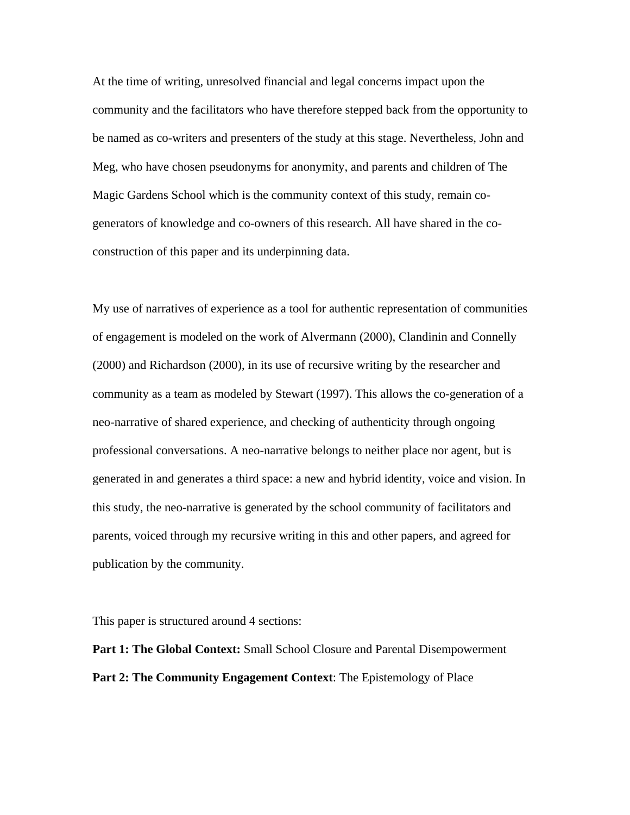At the time of writing, unresolved financial and legal concerns impact upon the community and the facilitators who have therefore stepped back from the opportunity to be named as co-writers and presenters of the study at this stage. Nevertheless, John and Meg, who have chosen pseudonyms for anonymity, and parents and children of The Magic Gardens School which is the community context of this study, remain cogenerators of knowledge and co-owners of this research. All have shared in the coconstruction of this paper and its underpinning data.

My use of narratives of experience as a tool for authentic representation of communities of engagement is modeled on the work of Alvermann (2000), Clandinin and Connelly (2000) and Richardson (2000), in its use of recursive writing by the researcher and community as a team as modeled by Stewart (1997). This allows the co-generation of a neo-narrative of shared experience, and checking of authenticity through ongoing professional conversations. A neo-narrative belongs to neither place nor agent, but is generated in and generates a third space: a new and hybrid identity, voice and vision. In this study, the neo-narrative is generated by the school community of facilitators and parents, voiced through my recursive writing in this and other papers, and agreed for publication by the community.

This paper is structured around 4 sections:

**Part 1: The Global Context:** Small School Closure and Parental Disempowerment **Part 2: The Community Engagement Context**: The Epistemology of Place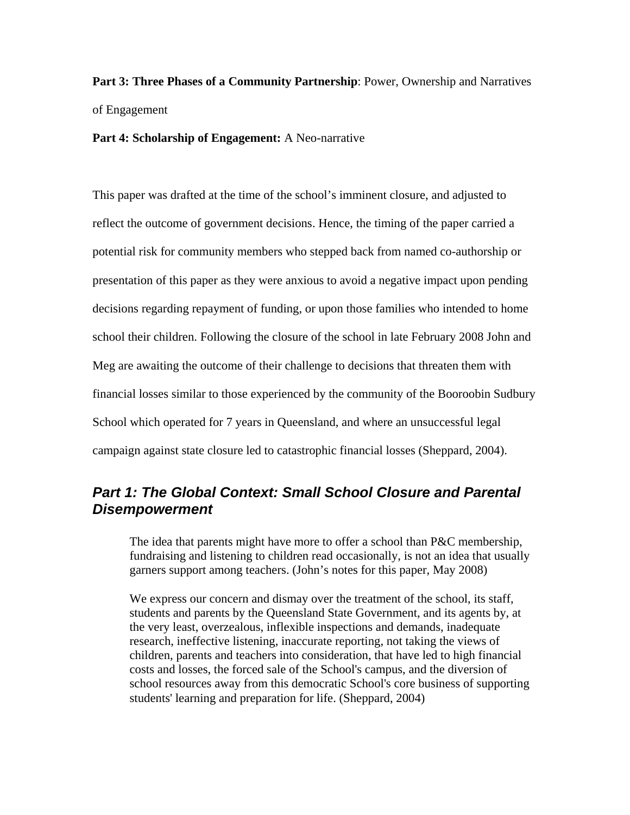**Part 3: Three Phases of a Community Partnership**: Power, Ownership and Narratives of Engagement

**Part 4: Scholarship of Engagement:** A Neo-narrative

This paper was drafted at the time of the school's imminent closure, and adjusted to reflect the outcome of government decisions. Hence, the timing of the paper carried a potential risk for community members who stepped back from named co-authorship or presentation of this paper as they were anxious to avoid a negative impact upon pending decisions regarding repayment of funding, or upon those families who intended to home school their children. Following the closure of the school in late February 2008 John and Meg are awaiting the outcome of their challenge to decisions that threaten them with financial losses similar to those experienced by the community of the Booroobin Sudbury School which operated for 7 years in Queensland, and where an unsuccessful legal campaign against state closure led to catastrophic financial losses (Sheppard, 2004).

### **Part 1: The Global Context: Small School Closure and Parental** *Disempowerment*

The idea that parents might have more to offer a school than P&C membership, fundraising and listening to children read occasionally, is not an idea that usually garners support among teachers. (John's notes for this paper, May 2008)

We express our concern and dismay over the treatment of the school, its staff, students and parents by the Queensland State Government, and its agents by, at the very least, overzealous, inflexible inspections and demands, inadequate research, ineffective listening, inaccurate reporting, not taking the views of children, parents and teachers into consideration, that have led to high financial costs and losses, the forced sale of the School's campus, and the diversion of school resources away from this democratic School's core business of supporting students' learning and preparation for life. (Sheppard, 2004)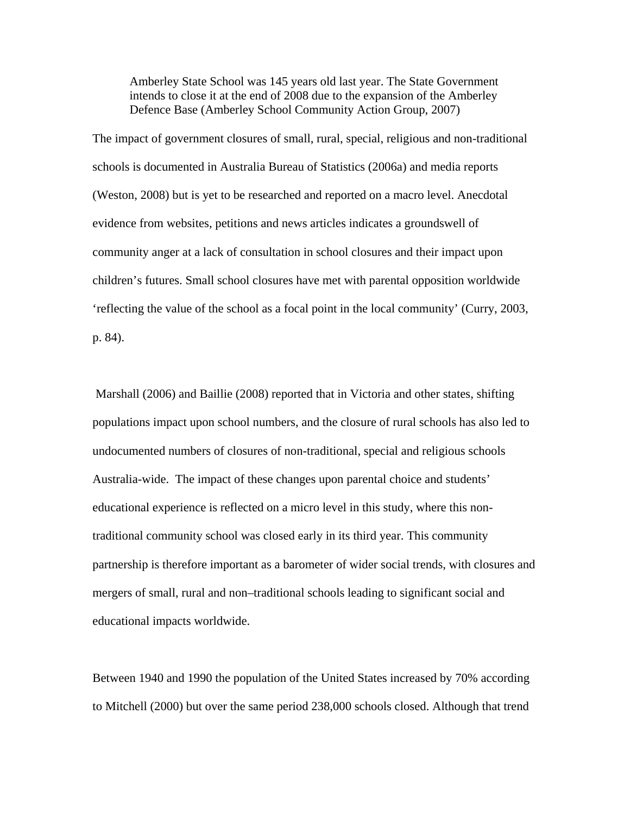Amberley State School was 145 years old last year. The State Government intends to close it at the end of 2008 due to the expansion of the Amberley Defence Base (Amberley School Community Action Group, 2007)

The impact of government closures of small, rural, special, religious and non-traditional schools is documented in Australia Bureau of Statistics (2006a) and media reports (Weston, 2008) but is yet to be researched and reported on a macro level. Anecdotal evidence from websites, petitions and news articles indicates a groundswell of community anger at a lack of consultation in school closures and their impact upon children's futures. Small school closures have met with parental opposition worldwide 'reflecting the value of the school as a focal point in the local community' (Curry, 2003, p. 84).

 Marshall (2006) and Baillie (2008) reported that in Victoria and other states, shifting populations impact upon school numbers, and the closure of rural schools has also led to undocumented numbers of closures of non-traditional, special and religious schools Australia-wide. The impact of these changes upon parental choice and students' educational experience is reflected on a micro level in this study, where this nontraditional community school was closed early in its third year. This community partnership is therefore important as a barometer of wider social trends, with closures and mergers of small, rural and non–traditional schools leading to significant social and educational impacts worldwide.

Between 1940 and 1990 the population of the United States increased by 70% according to Mitchell (2000) but over the same period 238,000 schools closed. Although that trend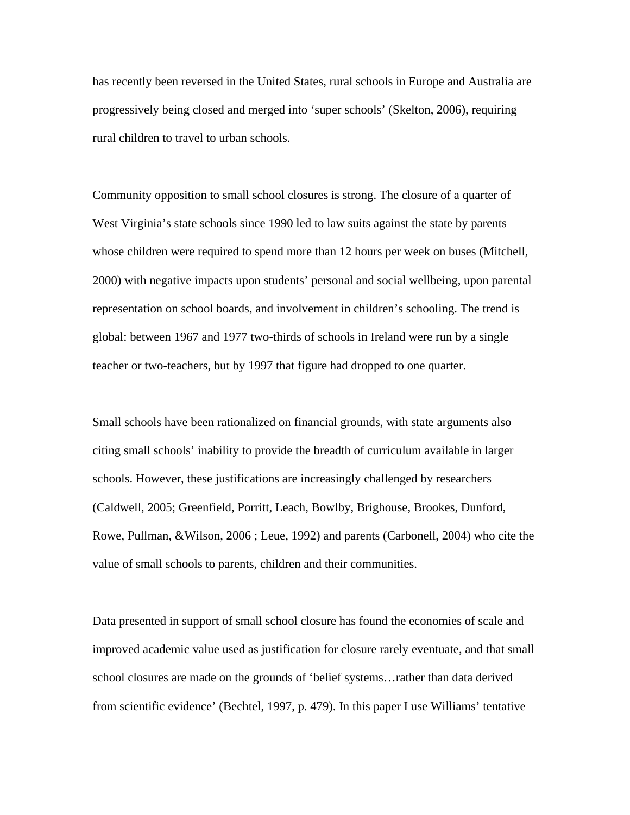has recently been reversed in the United States, rural schools in Europe and Australia are progressively being closed and merged into 'super schools' (Skelton, 2006), requiring rural children to travel to urban schools.

Community opposition to small school closures is strong. The closure of a quarter of West Virginia's state schools since 1990 led to law suits against the state by parents whose children were required to spend more than 12 hours per week on buses (Mitchell, 2000) with negative impacts upon students' personal and social wellbeing, upon parental representation on school boards, and involvement in children's schooling. The trend is global: between 1967 and 1977 two-thirds of schools in Ireland were run by a single teacher or two-teachers, but by 1997 that figure had dropped to one quarter.

Small schools have been rationalized on financial grounds, with state arguments also citing small schools' inability to provide the breadth of curriculum available in larger schools. However, these justifications are increasingly challenged by researchers (Caldwell, 2005; Greenfield, Porritt, Leach, Bowlby, Brighouse, Brookes, Dunford, Rowe, Pullman, &Wilson, 2006 ; Leue, 1992) and parents (Carbonell, 2004) who cite the value of small schools to parents, children and their communities.

Data presented in support of small school closure has found the economies of scale and improved academic value used as justification for closure rarely eventuate, and that small school closures are made on the grounds of 'belief systems…rather than data derived from scientific evidence' (Bechtel, 1997, p. 479). In this paper I use Williams' tentative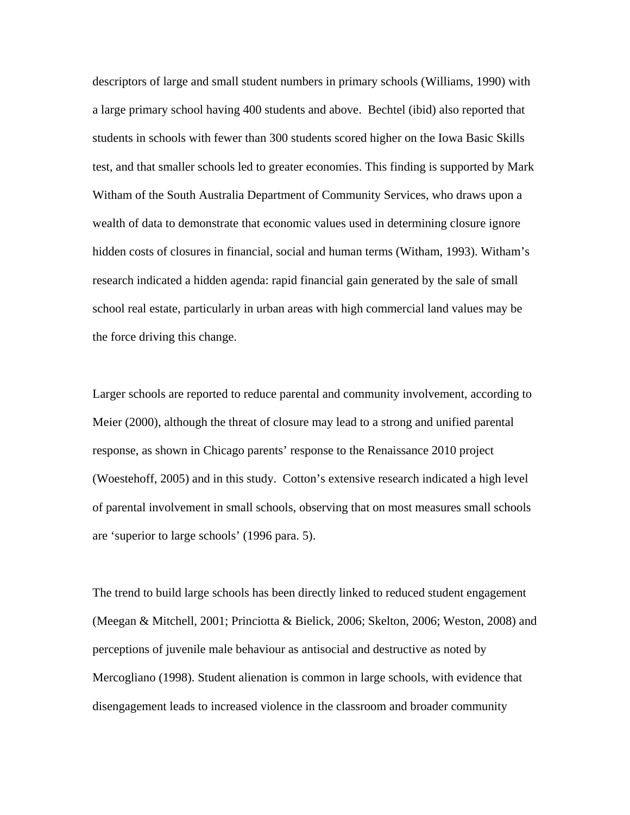descriptors of large and small student numbers in primary schools (Williams, 1990) with a large primary school having 400 students and above. Bechtel (ibid) also reported that students in schools with fewer than 300 students scored higher on the Iowa Basic Skills test, and that smaller schools led to greater economies. This finding is supported by Mark Witham of the South Australia Department of Community Services, who draws upon a wealth of data to demonstrate that economic values used in determining closure ignore hidden costs of closures in financial, social and human terms (Witham, 1993). Witham's research indicated a hidden agenda: rapid financial gain generated by the sale of small school real estate, particularly in urban areas with high commercial land values may be the force driving this change.

Larger schools are reported to reduce parental and community involvement, according to Meier (2000), although the threat of closure may lead to a strong and unified parental response, as shown in Chicago parents' response to the Renaissance 2010 project (Woestehoff, 2005) and in this study. Cotton's extensive research indicated a high level of parental involvement in small schools, observing that on most measures small schools are 'superior to large schools' (1996 para. 5).

The trend to build large schools has been directly linked to reduced student engagement (Meegan & Mitchell, 2001; Princiotta & Bielick, 2006; Skelton, 2006; Weston, 2008) and perceptions of juvenile male behaviour as antisocial and destructive as noted by Mercogliano (1998). Student alienation is common in large schools, with evidence that disengagement leads to increased violence in the classroom and broader community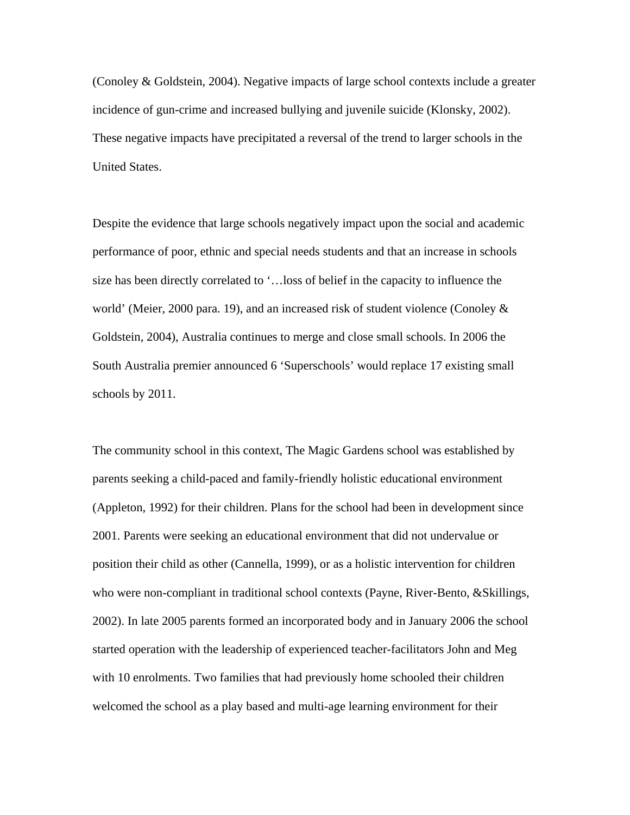(Conoley & Goldstein, 2004). Negative impacts of large school contexts include a greater incidence of gun-crime and increased bullying and juvenile suicide (Klonsky, 2002). These negative impacts have precipitated a reversal of the trend to larger schools in the United States.

Despite the evidence that large schools negatively impact upon the social and academic performance of poor, ethnic and special needs students and that an increase in schools size has been directly correlated to '…loss of belief in the capacity to influence the world' (Meier, 2000 para. 19), and an increased risk of student violence (Conoley & Goldstein, 2004), Australia continues to merge and close small schools. In 2006 the South Australia premier announced 6 'Superschools' would replace 17 existing small schools by 2011.

The community school in this context, The Magic Gardens school was established by parents seeking a child-paced and family-friendly holistic educational environment (Appleton, 1992) for their children. Plans for the school had been in development since 2001. Parents were seeking an educational environment that did not undervalue or position their child as other (Cannella, 1999), or as a holistic intervention for children who were non-compliant in traditional school contexts (Payne, River-Bento, &Skillings, 2002). In late 2005 parents formed an incorporated body and in January 2006 the school started operation with the leadership of experienced teacher-facilitators John and Meg with 10 enrolments. Two families that had previously home schooled their children welcomed the school as a play based and multi-age learning environment for their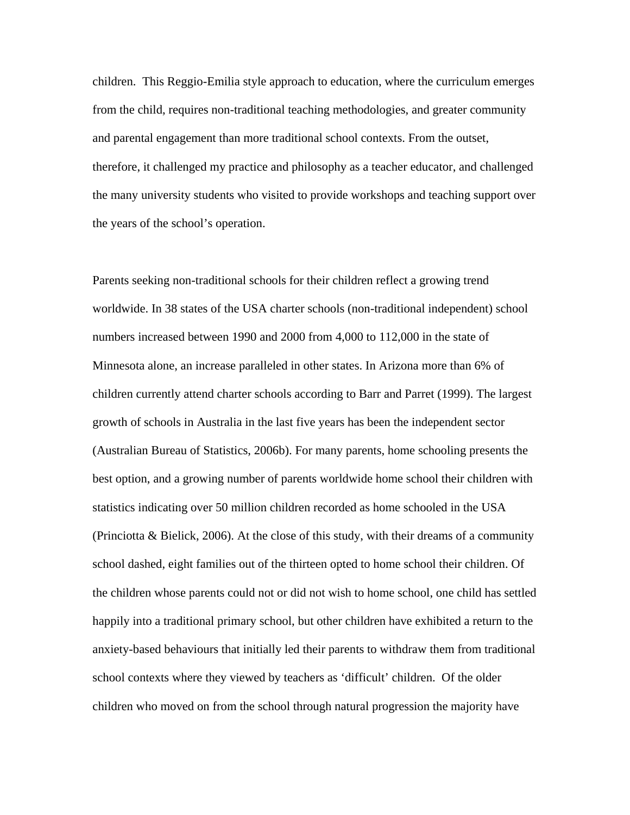children. This Reggio-Emilia style approach to education, where the curriculum emerges from the child, requires non-traditional teaching methodologies, and greater community and parental engagement than more traditional school contexts. From the outset, therefore, it challenged my practice and philosophy as a teacher educator, and challenged the many university students who visited to provide workshops and teaching support over the years of the school's operation.

Parents seeking non-traditional schools for their children reflect a growing trend worldwide. In 38 states of the USA charter schools (non-traditional independent) school numbers increased between 1990 and 2000 from 4,000 to 112,000 in the state of Minnesota alone, an increase paralleled in other states. In Arizona more than 6% of children currently attend charter schools according to Barr and Parret (1999). The largest growth of schools in Australia in the last five years has been the independent sector (Australian Bureau of Statistics, 2006b). For many parents, home schooling presents the best option, and a growing number of parents worldwide home school their children with statistics indicating over 50 million children recorded as home schooled in the USA (Princiotta  $\&$  Bielick, 2006). At the close of this study, with their dreams of a community school dashed, eight families out of the thirteen opted to home school their children. Of the children whose parents could not or did not wish to home school, one child has settled happily into a traditional primary school, but other children have exhibited a return to the anxiety-based behaviours that initially led their parents to withdraw them from traditional school contexts where they viewed by teachers as 'difficult' children. Of the older children who moved on from the school through natural progression the majority have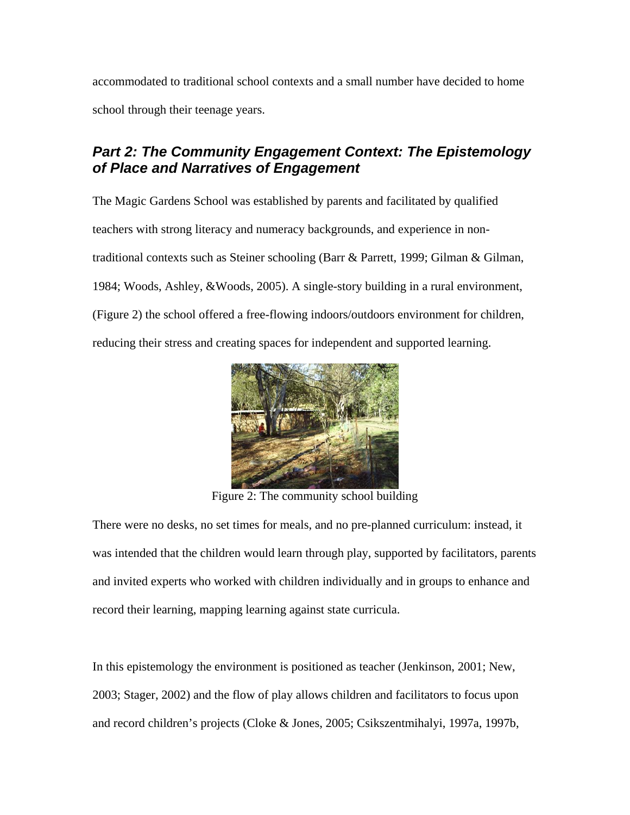accommodated to traditional school contexts and a small number have decided to home school through their teenage years.

## *Part 2: The Community Engagement Context: The Epistemology of Place and Narratives of Engagement*

The Magic Gardens School was established by parents and facilitated by qualified teachers with strong literacy and numeracy backgrounds, and experience in nontraditional contexts such as Steiner schooling (Barr & Parrett, 1999; Gilman & Gilman, 1984; Woods, Ashley, &Woods, 2005). A single-story building in a rural environment, (Figure 2) the school offered a free-flowing indoors/outdoors environment for children, reducing their stress and creating spaces for independent and supported learning.



Figure 2: The community school building

There were no desks, no set times for meals, and no pre-planned curriculum: instead, it was intended that the children would learn through play, supported by facilitators, parents and invited experts who worked with children individually and in groups to enhance and record their learning, mapping learning against state curricula.

In this epistemology the environment is positioned as teacher (Jenkinson, 2001; New, 2003; Stager, 2002) and the flow of play allows children and facilitators to focus upon and record children's projects (Cloke & Jones, 2005; Csikszentmihalyi, 1997a, 1997b,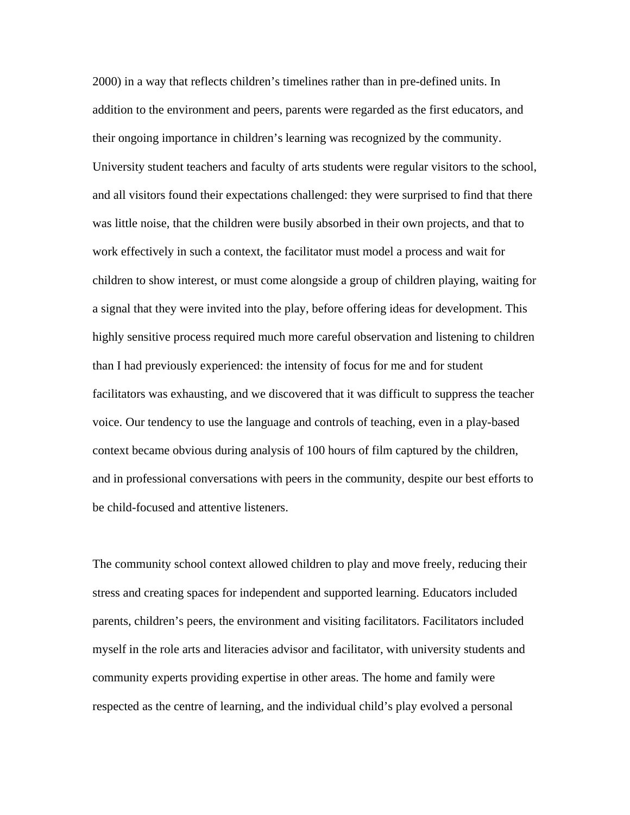2000) in a way that reflects children's timelines rather than in pre-defined units. In addition to the environment and peers, parents were regarded as the first educators, and their ongoing importance in children's learning was recognized by the community. University student teachers and faculty of arts students were regular visitors to the school, and all visitors found their expectations challenged: they were surprised to find that there was little noise, that the children were busily absorbed in their own projects, and that to work effectively in such a context, the facilitator must model a process and wait for children to show interest, or must come alongside a group of children playing, waiting for a signal that they were invited into the play, before offering ideas for development. This highly sensitive process required much more careful observation and listening to children than I had previously experienced: the intensity of focus for me and for student facilitators was exhausting, and we discovered that it was difficult to suppress the teacher voice. Our tendency to use the language and controls of teaching, even in a play-based context became obvious during analysis of 100 hours of film captured by the children, and in professional conversations with peers in the community, despite our best efforts to be child-focused and attentive listeners.

The community school context allowed children to play and move freely, reducing their stress and creating spaces for independent and supported learning. Educators included parents, children's peers, the environment and visiting facilitators. Facilitators included myself in the role arts and literacies advisor and facilitator, with university students and community experts providing expertise in other areas. The home and family were respected as the centre of learning, and the individual child's play evolved a personal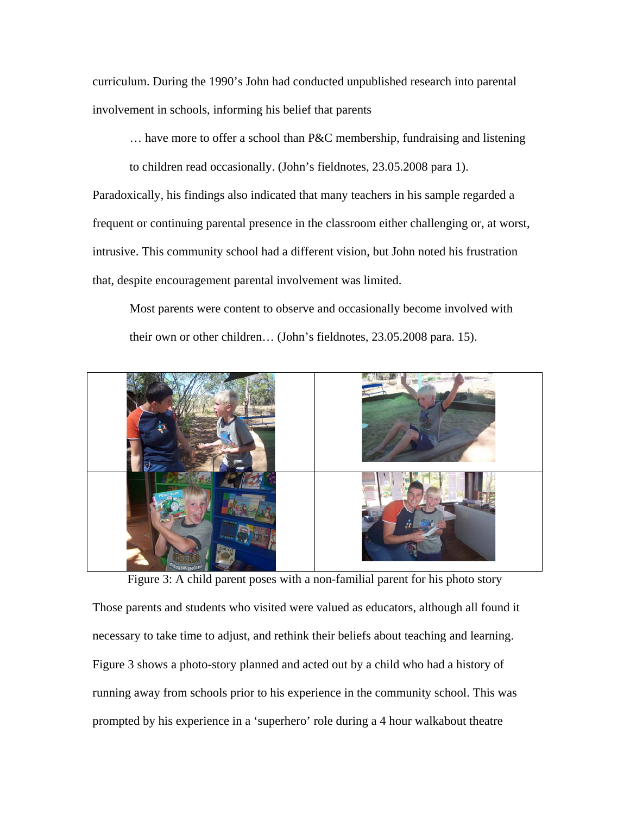curriculum. During the 1990's John had conducted unpublished research into parental involvement in schools, informing his belief that parents

… have more to offer a school than P&C membership, fundraising and listening

to children read occasionally. (John's fieldnotes, 23.05.2008 para 1).

Paradoxically, his findings also indicated that many teachers in his sample regarded a frequent or continuing parental presence in the classroom either challenging or, at worst, intrusive. This community school had a different vision, but John noted his frustration that, despite encouragement parental involvement was limited.

Most parents were content to observe and occasionally become involved with their own or other children… (John's fieldnotes, 23.05.2008 para. 15).



Figure 3: A child parent poses with a non-familial parent for his photo story

Those parents and students who visited were valued as educators, although all found it necessary to take time to adjust, and rethink their beliefs about teaching and learning. Figure 3 shows a photo-story planned and acted out by a child who had a history of running away from schools prior to his experience in the community school. This was prompted by his experience in a 'superhero' role during a 4 hour walkabout theatre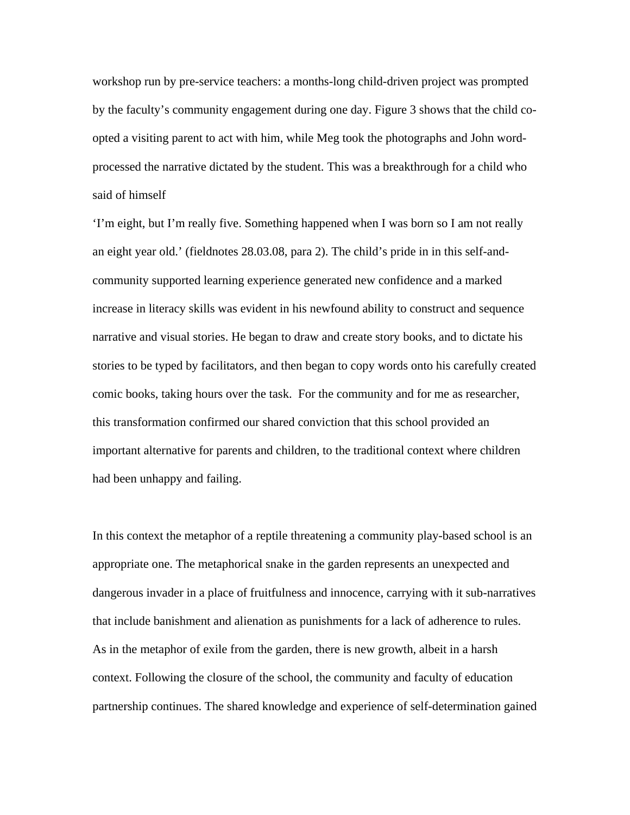workshop run by pre-service teachers: a months-long child-driven project was prompted by the faculty's community engagement during one day. Figure 3 shows that the child coopted a visiting parent to act with him, while Meg took the photographs and John wordprocessed the narrative dictated by the student. This was a breakthrough for a child who said of himself

'I'm eight, but I'm really five. Something happened when I was born so I am not really an eight year old.' (fieldnotes 28.03.08, para 2). The child's pride in in this self-andcommunity supported learning experience generated new confidence and a marked increase in literacy skills was evident in his newfound ability to construct and sequence narrative and visual stories. He began to draw and create story books, and to dictate his stories to be typed by facilitators, and then began to copy words onto his carefully created comic books, taking hours over the task. For the community and for me as researcher, this transformation confirmed our shared conviction that this school provided an important alternative for parents and children, to the traditional context where children had been unhappy and failing.

In this context the metaphor of a reptile threatening a community play-based school is an appropriate one. The metaphorical snake in the garden represents an unexpected and dangerous invader in a place of fruitfulness and innocence, carrying with it sub-narratives that include banishment and alienation as punishments for a lack of adherence to rules. As in the metaphor of exile from the garden, there is new growth, albeit in a harsh context. Following the closure of the school, the community and faculty of education partnership continues. The shared knowledge and experience of self-determination gained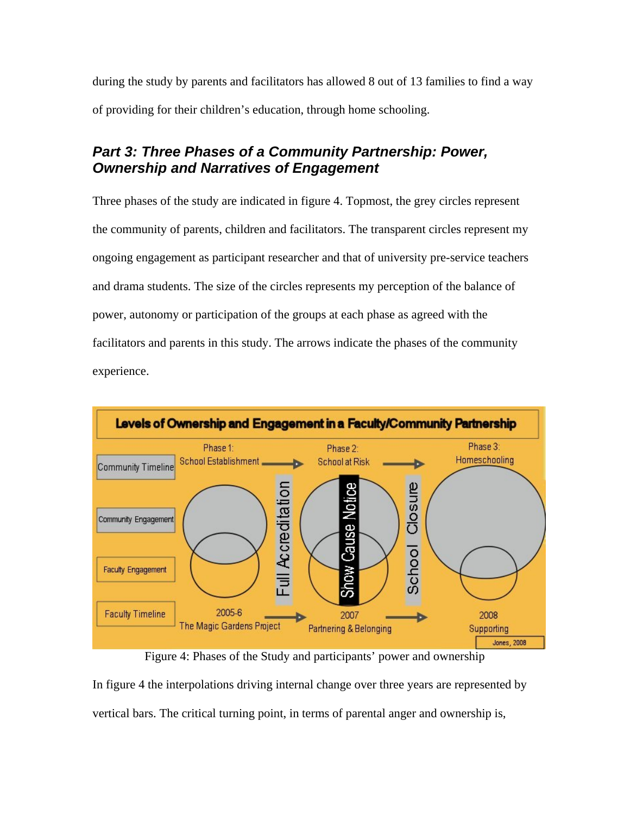during the study by parents and facilitators has allowed 8 out of 13 families to find a way of providing for their children's education, through home schooling.

## *Part 3: Three Phases of a Community Partnership: Power, Ownership and Narratives of Engagement*

Three phases of the study are indicated in figure 4. Topmost, the grey circles represent the community of parents, children and facilitators. The transparent circles represent my ongoing engagement as participant researcher and that of university pre-service teachers and drama students. The size of the circles represents my perception of the balance of power, autonomy or participation of the groups at each phase as agreed with the facilitators and parents in this study. The arrows indicate the phases of the community experience.



Figure 4: Phases of the Study and participants' power and ownership

In figure 4 the interpolations driving internal change over three years are represented by vertical bars. The critical turning point, in terms of parental anger and ownership is,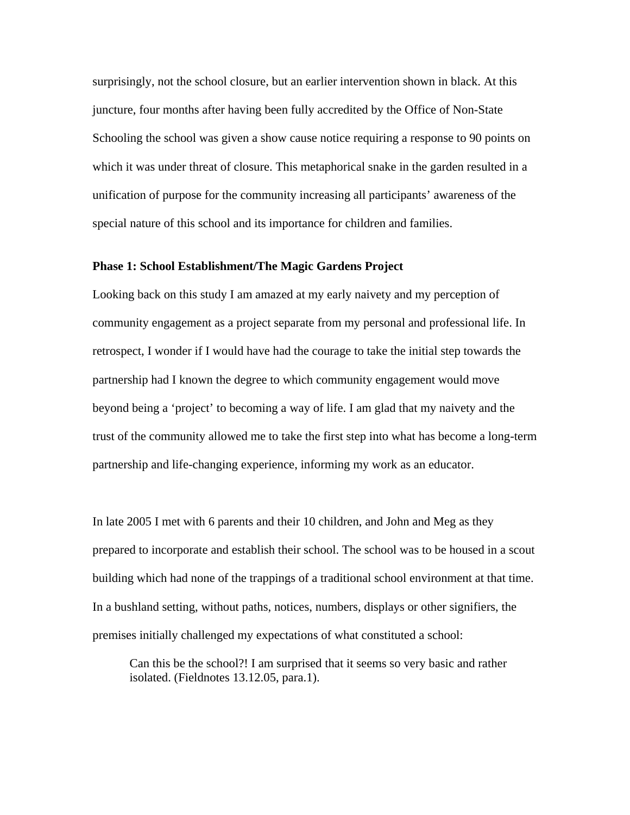surprisingly, not the school closure, but an earlier intervention shown in black. At this juncture, four months after having been fully accredited by the Office of Non-State Schooling the school was given a show cause notice requiring a response to 90 points on which it was under threat of closure. This metaphorical snake in the garden resulted in a unification of purpose for the community increasing all participants' awareness of the special nature of this school and its importance for children and families.

### **Phase 1: School Establishment/The Magic Gardens Project**

Looking back on this study I am amazed at my early naivety and my perception of community engagement as a project separate from my personal and professional life. In retrospect, I wonder if I would have had the courage to take the initial step towards the partnership had I known the degree to which community engagement would move beyond being a 'project' to becoming a way of life. I am glad that my naivety and the trust of the community allowed me to take the first step into what has become a long-term partnership and life-changing experience, informing my work as an educator.

In late 2005 I met with 6 parents and their 10 children, and John and Meg as they prepared to incorporate and establish their school. The school was to be housed in a scout building which had none of the trappings of a traditional school environment at that time. In a bushland setting, without paths, notices, numbers, displays or other signifiers, the premises initially challenged my expectations of what constituted a school:

Can this be the school?! I am surprised that it seems so very basic and rather isolated. (Fieldnotes 13.12.05, para.1).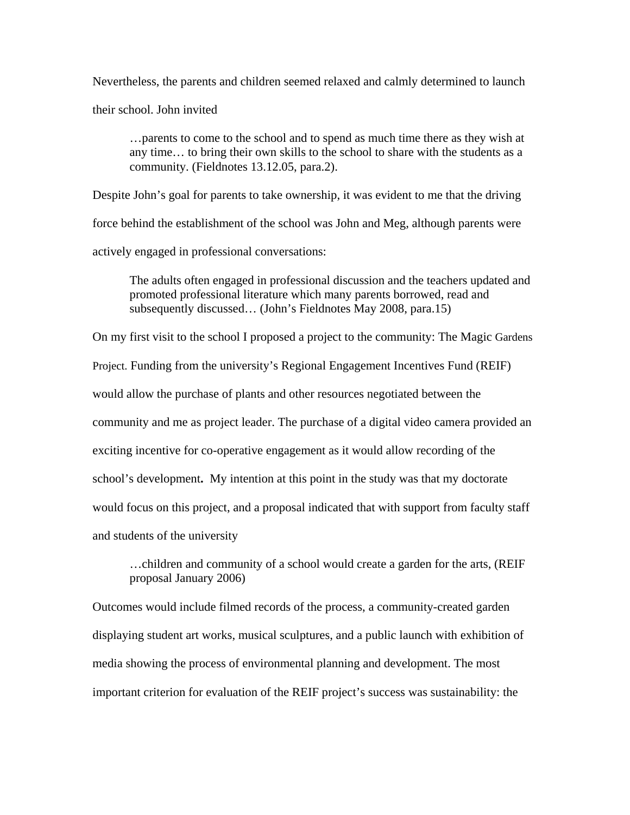Nevertheless, the parents and children seemed relaxed and calmly determined to launch

their school. John invited

…parents to come to the school and to spend as much time there as they wish at any time… to bring their own skills to the school to share with the students as a community. (Fieldnotes 13.12.05, para.2).

Despite John's goal for parents to take ownership, it was evident to me that the driving force behind the establishment of the school was John and Meg, although parents were actively engaged in professional conversations:

The adults often engaged in professional discussion and the teachers updated and promoted professional literature which many parents borrowed, read and subsequently discussed… (John's Fieldnotes May 2008, para.15)

On my first visit to the school I proposed a project to the community: The Magic Gardens Project. Funding from the university's Regional Engagement Incentives Fund (REIF) would allow the purchase of plants and other resources negotiated between the community and me as project leader. The purchase of a digital video camera provided an exciting incentive for co-operative engagement as it would allow recording of the school's development**.** My intention at this point in the study was that my doctorate would focus on this project, and a proposal indicated that with support from faculty staff and students of the university

…children and community of a school would create a garden for the arts, (REIF proposal January 2006)

Outcomes would include filmed records of the process, a community-created garden displaying student art works, musical sculptures, and a public launch with exhibition of media showing the process of environmental planning and development. The most important criterion for evaluation of the REIF project's success was sustainability: the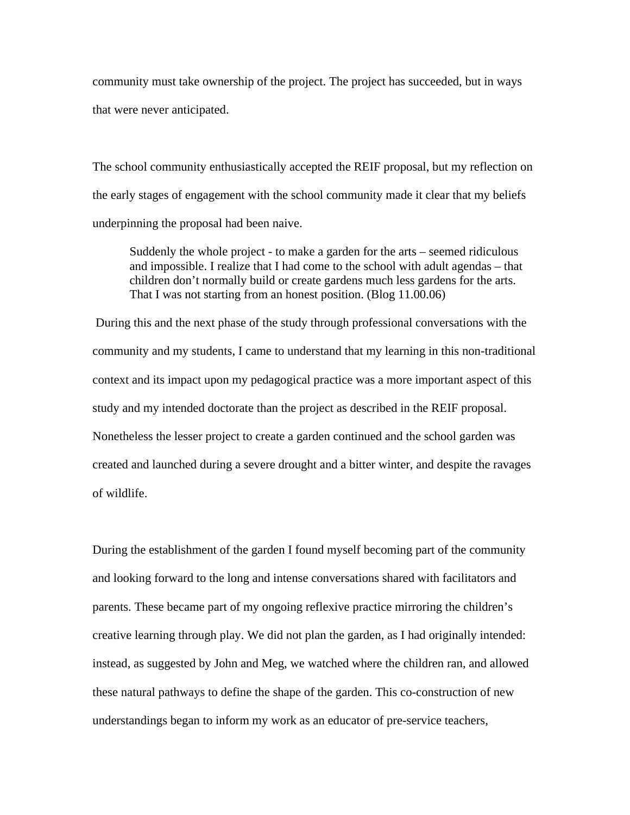community must take ownership of the project. The project has succeeded, but in ways that were never anticipated.

The school community enthusiastically accepted the REIF proposal, but my reflection on the early stages of engagement with the school community made it clear that my beliefs underpinning the proposal had been naive.

Suddenly the whole project - to make a garden for the arts – seemed ridiculous and impossible. I realize that I had come to the school with adult agendas – that children don't normally build or create gardens much less gardens for the arts. That I was not starting from an honest position. (Blog 11.00.06)

 During this and the next phase of the study through professional conversations with the community and my students, I came to understand that my learning in this non-traditional context and its impact upon my pedagogical practice was a more important aspect of this study and my intended doctorate than the project as described in the REIF proposal. Nonetheless the lesser project to create a garden continued and the school garden was created and launched during a severe drought and a bitter winter, and despite the ravages of wildlife.

During the establishment of the garden I found myself becoming part of the community and looking forward to the long and intense conversations shared with facilitators and parents. These became part of my ongoing reflexive practice mirroring the children's creative learning through play. We did not plan the garden, as I had originally intended: instead, as suggested by John and Meg, we watched where the children ran, and allowed these natural pathways to define the shape of the garden. This co-construction of new understandings began to inform my work as an educator of pre-service teachers,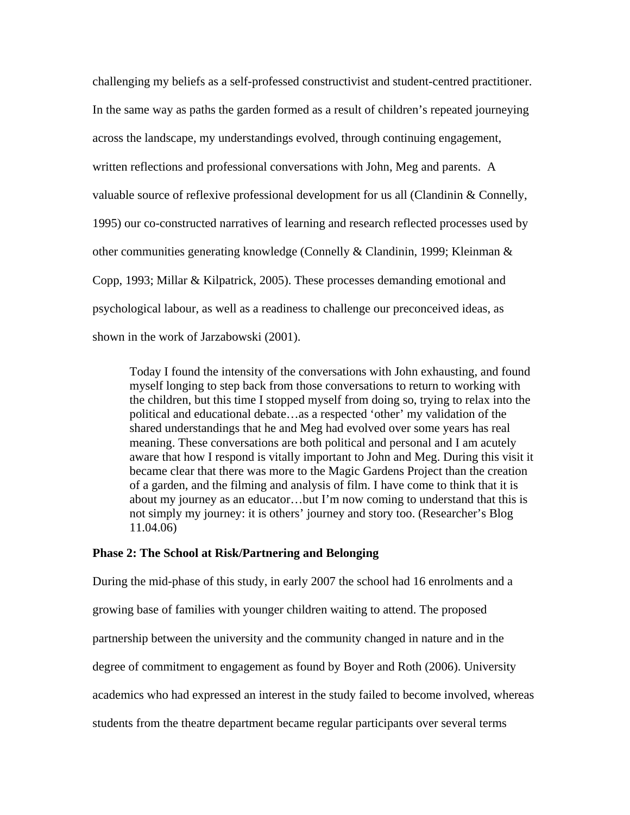challenging my beliefs as a self-professed constructivist and student-centred practitioner. In the same way as paths the garden formed as a result of children's repeated journeying across the landscape, my understandings evolved, through continuing engagement, written reflections and professional conversations with John, Meg and parents. A valuable source of reflexive professional development for us all (Clandinin & Connelly, 1995) our co-constructed narratives of learning and research reflected processes used by other communities generating knowledge (Connelly & Clandinin, 1999; Kleinman & Copp, 1993; Millar & Kilpatrick, 2005). These processes demanding emotional and psychological labour, as well as a readiness to challenge our preconceived ideas, as shown in the work of Jarzabowski (2001).

Today I found the intensity of the conversations with John exhausting, and found myself longing to step back from those conversations to return to working with the children, but this time I stopped myself from doing so, trying to relax into the political and educational debate…as a respected 'other' my validation of the shared understandings that he and Meg had evolved over some years has real meaning. These conversations are both political and personal and I am acutely aware that how I respond is vitally important to John and Meg. During this visit it became clear that there was more to the Magic Gardens Project than the creation of a garden, and the filming and analysis of film. I have come to think that it is about my journey as an educator…but I'm now coming to understand that this is not simply my journey: it is others' journey and story too. (Researcher's Blog 11.04.06)

#### **Phase 2: The School at Risk/Partnering and Belonging**

During the mid-phase of this study, in early 2007 the school had 16 enrolments and a growing base of families with younger children waiting to attend. The proposed partnership between the university and the community changed in nature and in the degree of commitment to engagement as found by Boyer and Roth (2006). University academics who had expressed an interest in the study failed to become involved, whereas students from the theatre department became regular participants over several terms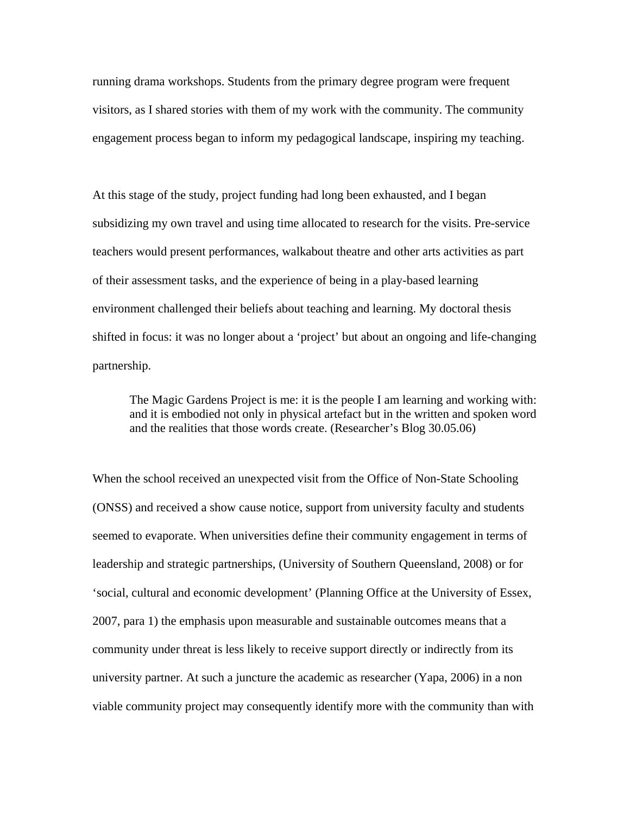running drama workshops. Students from the primary degree program were frequent visitors, as I shared stories with them of my work with the community. The community engagement process began to inform my pedagogical landscape, inspiring my teaching.

At this stage of the study, project funding had long been exhausted, and I began subsidizing my own travel and using time allocated to research for the visits. Pre-service teachers would present performances, walkabout theatre and other arts activities as part of their assessment tasks, and the experience of being in a play-based learning environment challenged their beliefs about teaching and learning. My doctoral thesis shifted in focus: it was no longer about a 'project' but about an ongoing and life-changing partnership.

The Magic Gardens Project is me: it is the people I am learning and working with: and it is embodied not only in physical artefact but in the written and spoken word and the realities that those words create. (Researcher's Blog 30.05.06)

When the school received an unexpected visit from the Office of Non-State Schooling (ONSS) and received a show cause notice, support from university faculty and students seemed to evaporate. When universities define their community engagement in terms of leadership and strategic partnerships, (University of Southern Queensland, 2008) or for 'social, cultural and economic development' (Planning Office at the University of Essex, 2007, para 1) the emphasis upon measurable and sustainable outcomes means that a community under threat is less likely to receive support directly or indirectly from its university partner. At such a juncture the academic as researcher (Yapa, 2006) in a non viable community project may consequently identify more with the community than with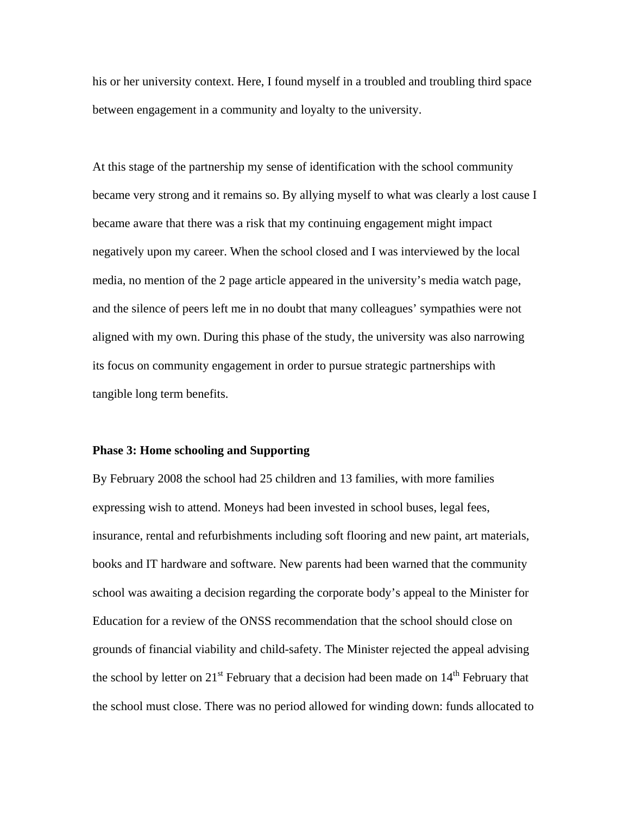his or her university context. Here, I found myself in a troubled and troubling third space between engagement in a community and loyalty to the university.

At this stage of the partnership my sense of identification with the school community became very strong and it remains so. By allying myself to what was clearly a lost cause I became aware that there was a risk that my continuing engagement might impact negatively upon my career. When the school closed and I was interviewed by the local media, no mention of the 2 page article appeared in the university's media watch page, and the silence of peers left me in no doubt that many colleagues' sympathies were not aligned with my own. During this phase of the study, the university was also narrowing its focus on community engagement in order to pursue strategic partnerships with tangible long term benefits.

#### **Phase 3: Home schooling and Supporting**

By February 2008 the school had 25 children and 13 families, with more families expressing wish to attend. Moneys had been invested in school buses, legal fees, insurance, rental and refurbishments including soft flooring and new paint, art materials, books and IT hardware and software. New parents had been warned that the community school was awaiting a decision regarding the corporate body's appeal to the Minister for Education for a review of the ONSS recommendation that the school should close on grounds of financial viability and child-safety. The Minister rejected the appeal advising the school by letter on  $21<sup>st</sup>$  February that a decision had been made on  $14<sup>th</sup>$  February that the school must close. There was no period allowed for winding down: funds allocated to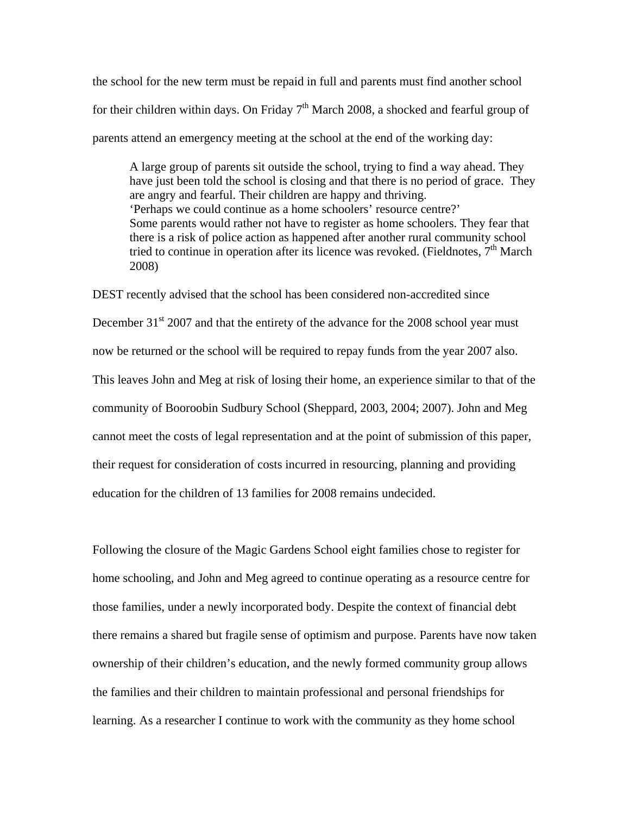the school for the new term must be repaid in full and parents must find another school for their children within days. On Friday  $7<sup>th</sup>$  March 2008, a shocked and fearful group of parents attend an emergency meeting at the school at the end of the working day:

A large group of parents sit outside the school, trying to find a way ahead. They have just been told the school is closing and that there is no period of grace. They are angry and fearful. Their children are happy and thriving. 'Perhaps we could continue as a home schoolers' resource centre?' Some parents would rather not have to register as home schoolers. They fear that there is a risk of police action as happened after another rural community school tried to continue in operation after its licence was revoked. (Fieldnotes,  $7<sup>th</sup>$  March 2008)

DEST recently advised that the school has been considered non-accredited since December  $31<sup>st</sup>$  2007 and that the entirety of the advance for the 2008 school year must now be returned or the school will be required to repay funds from the year 2007 also. This leaves John and Meg at risk of losing their home, an experience similar to that of the community of Booroobin Sudbury School (Sheppard, 2003, 2004; 2007). John and Meg cannot meet the costs of legal representation and at the point of submission of this paper, their request for consideration of costs incurred in resourcing, planning and providing education for the children of 13 families for 2008 remains undecided.

Following the closure of the Magic Gardens School eight families chose to register for home schooling, and John and Meg agreed to continue operating as a resource centre for those families, under a newly incorporated body. Despite the context of financial debt there remains a shared but fragile sense of optimism and purpose. Parents have now taken ownership of their children's education, and the newly formed community group allows the families and their children to maintain professional and personal friendships for learning. As a researcher I continue to work with the community as they home school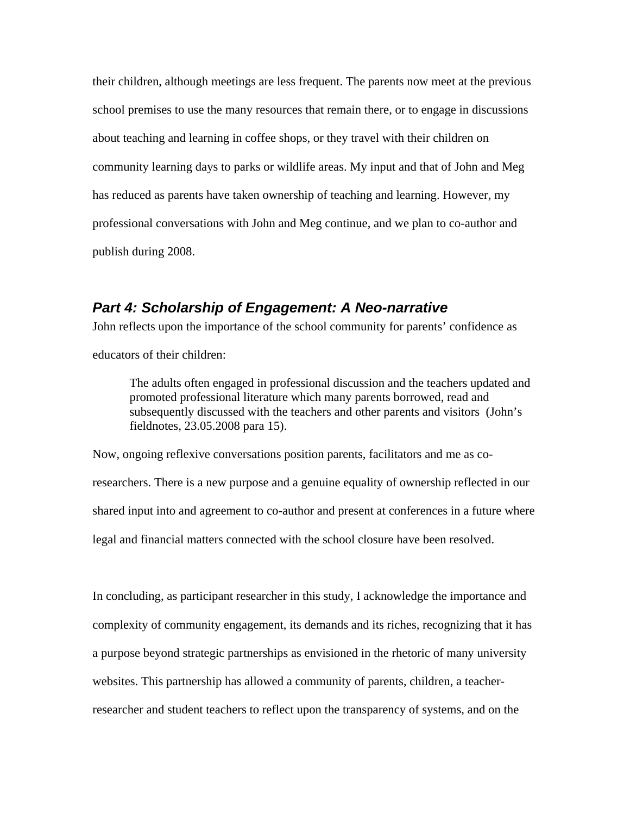their children, although meetings are less frequent. The parents now meet at the previous school premises to use the many resources that remain there, or to engage in discussions about teaching and learning in coffee shops, or they travel with their children on community learning days to parks or wildlife areas. My input and that of John and Meg has reduced as parents have taken ownership of teaching and learning. However, my professional conversations with John and Meg continue, and we plan to co-author and publish during 2008.

### *Part 4: Scholarship of Engagement: A Neo-narrative*

John reflects upon the importance of the school community for parents' confidence as

educators of their children:

The adults often engaged in professional discussion and the teachers updated and promoted professional literature which many parents borrowed, read and subsequently discussed with the teachers and other parents and visitors (John's fieldnotes, 23.05.2008 para 15).

Now, ongoing reflexive conversations position parents, facilitators and me as coresearchers. There is a new purpose and a genuine equality of ownership reflected in our shared input into and agreement to co-author and present at conferences in a future where legal and financial matters connected with the school closure have been resolved.

In concluding, as participant researcher in this study, I acknowledge the importance and complexity of community engagement, its demands and its riches, recognizing that it has a purpose beyond strategic partnerships as envisioned in the rhetoric of many university websites. This partnership has allowed a community of parents, children, a teacherresearcher and student teachers to reflect upon the transparency of systems, and on the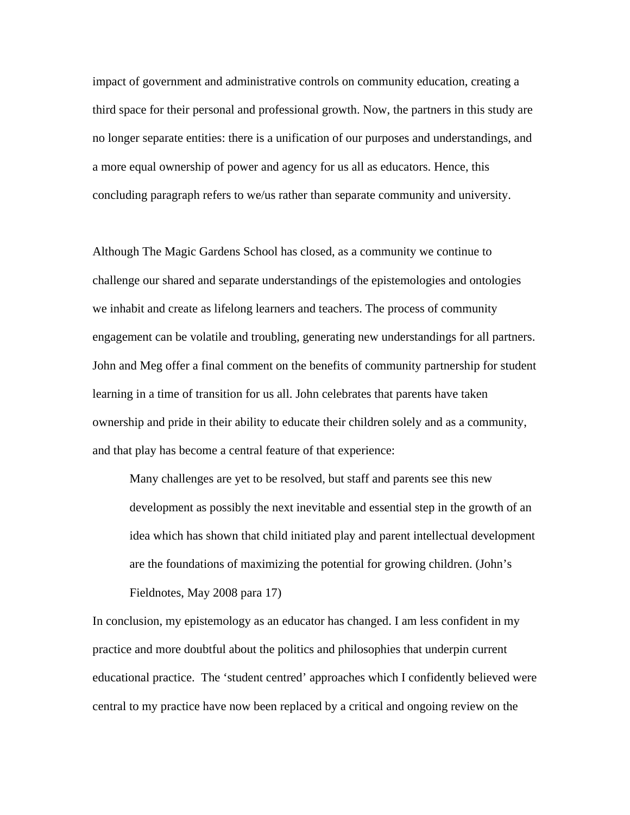impact of government and administrative controls on community education, creating a third space for their personal and professional growth. Now, the partners in this study are no longer separate entities: there is a unification of our purposes and understandings, and a more equal ownership of power and agency for us all as educators. Hence, this concluding paragraph refers to we/us rather than separate community and university.

Although The Magic Gardens School has closed, as a community we continue to challenge our shared and separate understandings of the epistemologies and ontologies we inhabit and create as lifelong learners and teachers. The process of community engagement can be volatile and troubling, generating new understandings for all partners. John and Meg offer a final comment on the benefits of community partnership for student learning in a time of transition for us all. John celebrates that parents have taken ownership and pride in their ability to educate their children solely and as a community, and that play has become a central feature of that experience:

Many challenges are yet to be resolved, but staff and parents see this new development as possibly the next inevitable and essential step in the growth of an idea which has shown that child initiated play and parent intellectual development are the foundations of maximizing the potential for growing children. (John's Fieldnotes, May 2008 para 17)

In conclusion, my epistemology as an educator has changed. I am less confident in my practice and more doubtful about the politics and philosophies that underpin current educational practice. The 'student centred' approaches which I confidently believed were central to my practice have now been replaced by a critical and ongoing review on the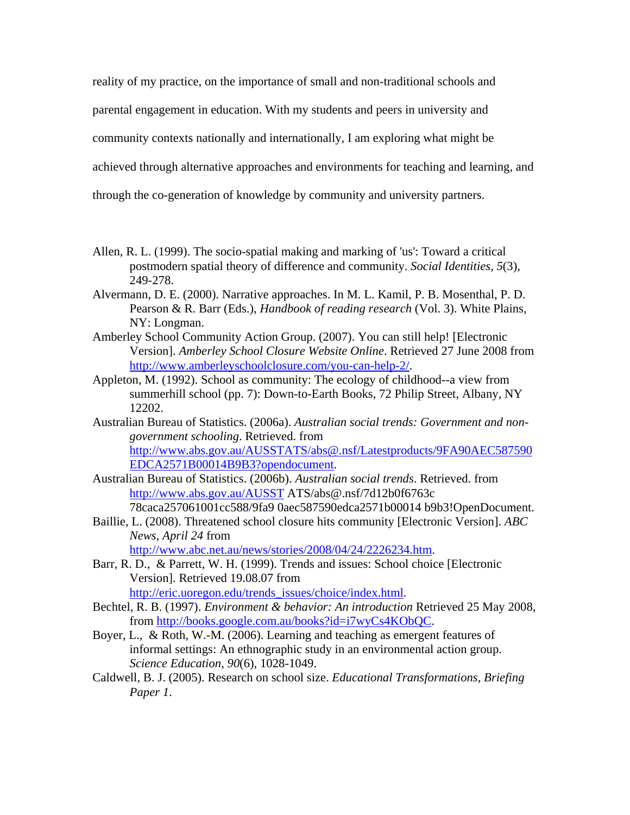reality of my practice, on the importance of small and non-traditional schools and parental engagement in education. With my students and peers in university and community contexts nationally and internationally, I am exploring what might be achieved through alternative approaches and environments for teaching and learning, and through the co-generation of knowledge by community and university partners.

- Allen, R. L. (1999). The socio-spatial making and marking of 'us': Toward a critical postmodern spatial theory of difference and community. *Social Identities, 5*(3), 249-278.
- Alvermann, D. E. (2000). Narrative approaches. In M. L. Kamil, P. B. Mosenthal, P. D. Pearson & R. Barr (Eds.), *Handbook of reading research* (Vol. 3). White Plains, NY: Longman.
- Amberley School Community Action Group. (2007). You can still help! [Electronic Version]. *Amberley School Closure Website Online*. Retrieved 27 June 2008 from [http://www.amberleyschoolclosure.com/you-can-help-2/.](http://www.amberleyschoolclosure.com/you-can-help-2/)
- Appleton, M. (1992). School as community: The ecology of childhood--a view from summerhill school (pp. 7): Down-to-Earth Books, 72 Philip Street, Albany, NY 12202.
- Australian Bureau of Statistics. (2006a). *Australian social trends: Government and nongovernment schooling*. Retrieved. from [http://www.abs.gov.au/AUSSTATS/abs@.nsf/Latestproducts/9FA90AEC587590](http://www.abs.gov.au/AUSSTATS/abs@.nsf/Latestproducts/9FA90AEC587590EDCA2571B00014B9B3?opendocument) [EDCA2571B00014B9B3?opendocument.](http://www.abs.gov.au/AUSSTATS/abs@.nsf/Latestproducts/9FA90AEC587590EDCA2571B00014B9B3?opendocument)
- Australian Bureau of Statistics. (2006b). *Australian social trends*. Retrieved. from <http://www.abs.gov.au/AUSST> ATS/abs@.nsf/7d12b0f6763c 78caca257061001cc588/9fa9 0aec587590edca2571b00014 b9b3!OpenDocument.
- Baillie, L. (2008). Threatened school closure hits community [Electronic Version]. *ABC News*, *April 24* from

[http://www.abc.net.au/news/stories/2008/04/24/2226234.htm.](http://www.abc.net.au/news/stories/2008/04/24/2226234.htm)

- Barr, R. D., & Parrett, W. H. (1999). Trends and issues: School choice [Electronic Version]. Retrieved 19.08.07 from [http://eric.uoregon.edu/trends\\_issues/choice/index.html](http://eric.uoregon.edu/trends_issues/choice/index.html).
- Bechtel, R. B. (1997). *Environment & behavior: An introduction* Retrieved 25 May 2008, from<http://books.google.com.au/books?id=i7wyCs4KObQC>.
- Boyer, L., & Roth, W.-M. (2006). Learning and teaching as emergent features of informal settings: An ethnographic study in an environmental action group. *Science Education, 90*(6), 1028-1049.
- Caldwell, B. J. (2005). Research on school size. *Educational Transformations, Briefing Paper 1*.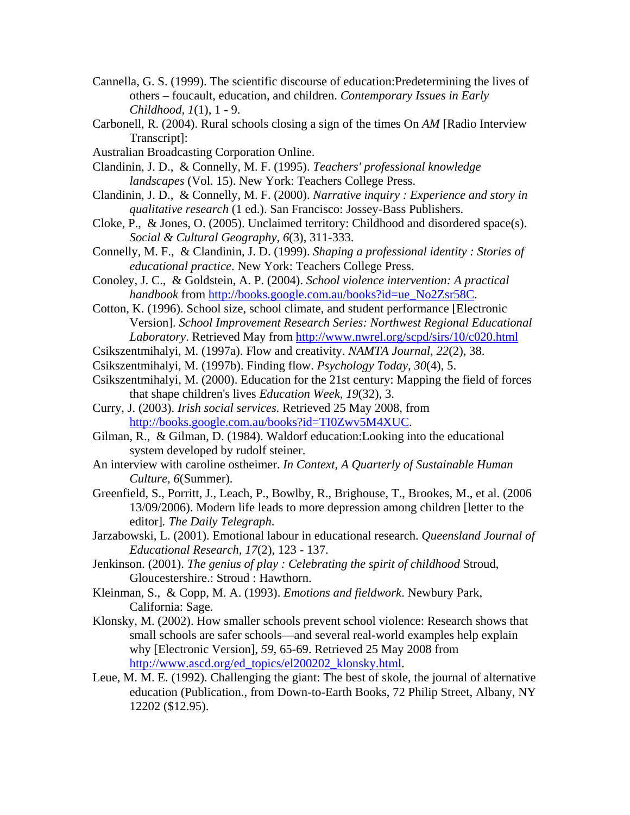- Cannella, G. S. (1999). The scientific discourse of education:Predetermining the lives of others – foucault, education, and children. *Contemporary Issues in Early Childhood, 1*(1), 1 - 9.
- Carbonell, R. (2004). Rural schools closing a sign of the times On *AM* [Radio Interview Transcript]:
- Australian Broadcasting Corporation Online.
- Clandinin, J. D., & Connelly, M. F. (1995). *Teachers' professional knowledge landscapes* (Vol. 15). New York: Teachers College Press.
- Clandinin, J. D., & Connelly, M. F. (2000). *Narrative inquiry : Experience and story in qualitative research* (1 ed.). San Francisco: Jossey-Bass Publishers.
- Cloke, P., & Jones, O.  $(2005)$ . Unclaimed territory: Childhood and disordered space(s). *Social & Cultural Geography, 6*(3), 311-333.
- Connelly, M. F., & Clandinin, J. D. (1999). *Shaping a professional identity : Stories of educational practice*. New York: Teachers College Press.
- Conoley, J. C., & Goldstein, A. P. (2004). *School violence intervention: A practical handbook* from [http://books.google.com.au/books?id=ue\\_No2Zsr58C](http://books.google.com.au/books?id=ue_No2Zsr58C).
- Cotton, K. (1996). School size, school climate, and student performance [Electronic Version]. *School Improvement Research Series: Northwest Regional Educational Laboratory*. Retrieved May from <http://www.nwrel.org/scpd/sirs/10/c020.html>
- Csikszentmihalyi, M. (1997a). Flow and creativity. *NAMTA Journal, 22*(2), 38.
- Csikszentmihalyi, M. (1997b). Finding flow. *Psychology Today, 30*(4), 5.
- Csikszentmihalyi, M. (2000). Education for the 21st century: Mapping the field of forces that shape children's lives *Education Week, 19*(32), 3.
- Curry, J. (2003). *Irish social services*. Retrieved 25 May 2008, from [http://books.google.com.au/books?id=TI0Zwv5M4XUC.](http://books.google.com.au/books?id=TI0Zwv5M4XUC)
- Gilman, R., & Gilman, D. (1984). Waldorf education:Looking into the educational system developed by rudolf steiner.
- An interview with caroline ostheimer. *In Context, A Quarterly of Sustainable Human Culture, 6*(Summer).
- Greenfield, S., Porritt, J., Leach, P., Bowlby, R., Brighouse, T., Brookes, M., et al. (2006 13/09/2006). Modern life leads to more depression among children [letter to the editor]*. The Daily Telegraph*.
- Jarzabowski, L. (2001). Emotional labour in educational research. *Queensland Journal of Educational Research, 17*(2), 123 - 137.
- Jenkinson. (2001). *The genius of play : Celebrating the spirit of childhood* Stroud, Gloucestershire.: Stroud : Hawthorn.
- Kleinman, S., & Copp, M. A. (1993). *Emotions and fieldwork*. Newbury Park, California: Sage.
- Klonsky, M. (2002). How smaller schools prevent school violence: Research shows that small schools are safer schools—and several real-world examples help explain why [Electronic Version], *59*, 65-69. Retrieved 25 May 2008 from [http://www.ascd.org/ed\\_topics/el200202\\_klonsky.html](http://www.ascd.org/ed_topics/el200202_klonsky.html).
- Leue, M. M. E. (1992). Challenging the giant: The best of skole, the journal of alternative education (Publication., from Down-to-Earth Books, 72 Philip Street, Albany, NY 12202 (\$12.95).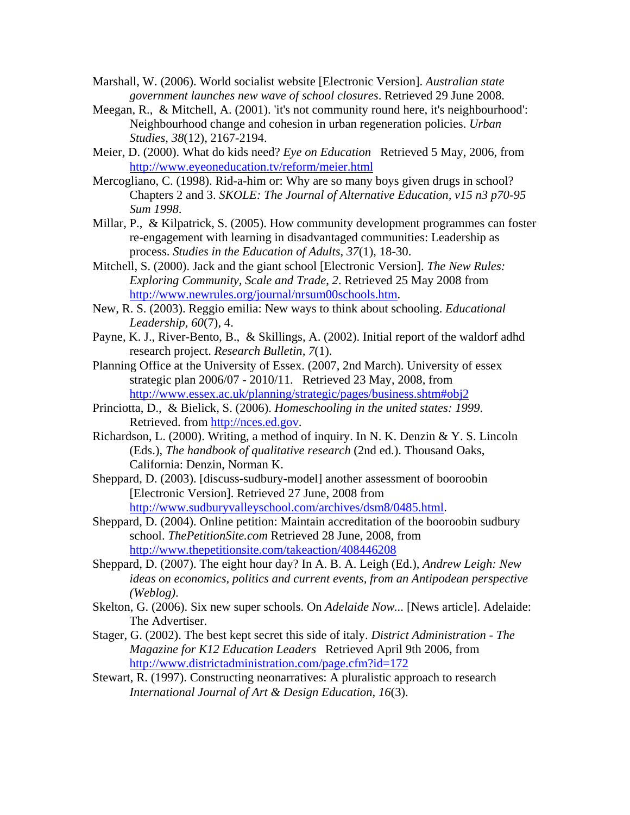- Marshall, W. (2006). World socialist website [Electronic Version]. *Australian state government launches new wave of school closures*. Retrieved 29 June 2008.
- Meegan, R., & Mitchell, A. (2001). 'it's not community round here, it's neighbourhood': Neighbourhood change and cohesion in urban regeneration policies. *Urban Studies, 38*(12), 2167-2194.
- Meier, D. (2000). What do kids need? *Eye on Education* Retrieved 5 May, 2006, from <http://www.eyeoneducation.tv/reform/meier.html>
- Mercogliano, C. (1998). Rid-a-him or: Why are so many boys given drugs in school? Chapters 2 and 3. *SKOLE: The Journal of Alternative Education, v15 n3 p70-95 Sum 1998*.
- Millar, P., & Kilpatrick, S. (2005). How community development programmes can foster re-engagement with learning in disadvantaged communities: Leadership as process. *Studies in the Education of Adults, 37*(1), 18-30.
- Mitchell, S. (2000). Jack and the giant school [Electronic Version]. *The New Rules: Exploring Community, Scale and Trade*, *2*. Retrieved 25 May 2008 from <http://www.newrules.org/journal/nrsum00schools.htm>.
- New, R. S. (2003). Reggio emilia: New ways to think about schooling. *Educational Leadership, 60*(7), 4.
- Payne, K. J., River-Bento, B., & Skillings, A. (2002). Initial report of the waldorf adhd research project. *Research Bulletin, 7*(1).
- Planning Office at the University of Essex. (2007, 2nd March). University of essex strategic plan 2006/07 - 2010/11. Retrieved 23 May, 2008, from <http://www.essex.ac.uk/planning/strategic/pages/business.shtm#obj2>
- Princiotta, D., & Bielick, S. (2006). *Homeschooling in the united states: 1999*. Retrieved. from [http://nces.ed.gov](http://nces.ed.gov/).
- Richardson, L. (2000). Writing, a method of inquiry. In N. K. Denzin & Y. S. Lincoln (Eds.), *The handbook of qualitative research* (2nd ed.). Thousand Oaks, California: Denzin, Norman K.
- Sheppard, D. (2003). [discuss-sudbury-model] another assessment of booroobin [Electronic Version]. Retrieved 27 June, 2008 from [http://www.sudburyvalleyschool.com/archives/dsm8/0485.html.](http://www.sudburyvalleyschool.com/archives/dsm8/0485.html)
- Sheppard, D. (2004). Online petition: Maintain accreditation of the booroobin sudbury school. *ThePetitionSite.com* Retrieved 28 June, 2008, from <http://www.thepetitionsite.com/takeaction/408446208>
- Sheppard, D. (2007). The eight hour day? In A. B. A. Leigh (Ed.), *Andrew Leigh: New ideas on economics, politics and current events, from an Antipodean perspective (Weblog)*.
- Skelton, G. (2006). Six new super schools. On *Adelaide Now...* [News article]. Adelaide: The Advertiser.
- Stager, G. (2002). The best kept secret this side of italy. *District Administration The Magazine for K12 Education Leaders* Retrieved April 9th 2006, from <http://www.districtadministration.com/page.cfm?id=172>
- Stewart, R. (1997). Constructing neonarratives: A pluralistic approach to research *International Journal of Art & Design Education, 16*(3).